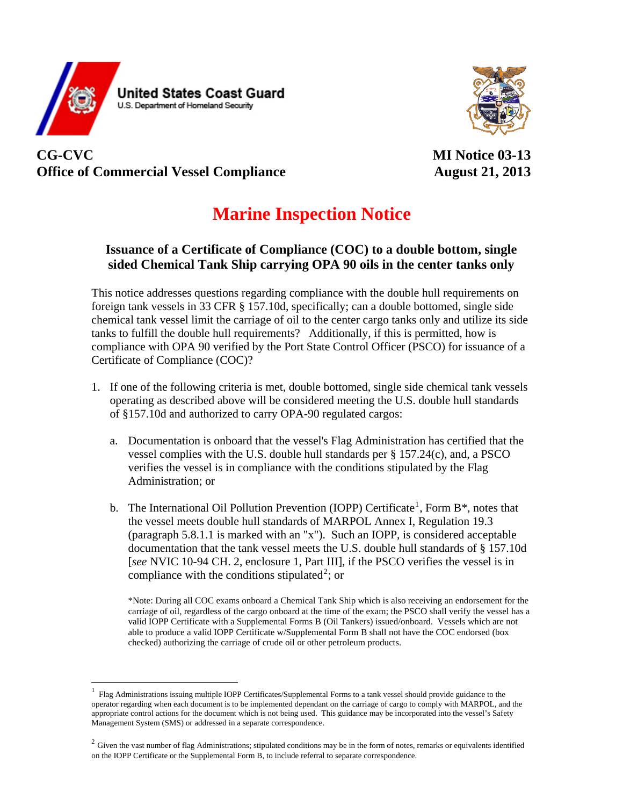



## **CG-CVC MI Notice 03-13**  Office of Commercial Vessel Compliance **August 21, 2013**

 $\overline{a}$ 

## **Marine Inspection Notice**

## **Issuance of a Certificate of Compliance (COC) to a double bottom, single sided Chemical Tank Ship carrying OPA 90 oils in the center tanks only**

This notice addresses questions regarding compliance with the double hull requirements on foreign tank vessels in 33 CFR § 157.10d, specifically; can a double bottomed, single side chemical tank vessel limit the carriage of oil to the center cargo tanks only and utilize its side tanks to fulfill the double hull requirements? Additionally, if this is permitted, how is compliance with OPA 90 verified by the Port State Control Officer (PSCO) for issuance of a Certificate of Compliance (COC)?

- 1. If one of the following criteria is met, double bottomed, single side chemical tank vessels operating as described above will be considered meeting the U.S. double hull standards of §157.10d and authorized to carry OPA-90 regulated cargos:
	- a. Documentation is onboard that the vessel's Flag Administration has certified that the vessel complies with the U.S. double hull standards per  $\S 157.24(c)$ , and, a PSCO verifies the vessel is in compliance with the conditions stipulated by the Flag Administration; or
	- b. The International Oil Pollution Prevention (IOPP) Certificate<sup>[1](#page-0-0)</sup>, Form  $B^*$ , notes that the vessel meets double hull standards of MARPOL Annex I, Regulation 19.3 (paragraph 5.8.1.1 is marked with an "x"). Such an IOPP, is considered acceptable documentation that the tank vessel meets the U.S. double hull standards of § 157.10d [*see* NVIC 10-94 CH. 2, enclosure 1, Part III], if the PSCO verifies the vessel is in compliance with the conditions stipulated<sup>[2](#page-0-1)</sup>; or

\*Note: During all COC exams onboard a Chemical Tank Ship which is also receiving an endorsement for the carriage of oil, regardless of the cargo onboard at the time of the exam; the PSCO shall verify the vessel has a valid IOPP Certificate with a Supplemental Forms B (Oil Tankers) issued/onboard. Vessels which are not able to produce a valid IOPP Certificate w/Supplemental Form B shall not have the COC endorsed (box checked) authorizing the carriage of crude oil or other petroleum products.

<span id="page-0-0"></span><sup>1</sup> Flag Administrations issuing multiple IOPP Certificates/Supplemental Forms to a tank vessel should provide guidance to the operator regarding when each document is to be implemented dependant on the carriage of cargo to comply with MARPOL, and the appropriate control actions for the document which is not being used. This guidance may be incorporated into the vessel's Safety Management System (SMS) or addressed in a separate correspondence.

<span id="page-0-1"></span> $2$  Given the vast number of flag Administrations; stipulated conditions may be in the form of notes, remarks or equivalents identified on the IOPP Certificate or the Supplemental Form B, to include referral to separate correspondence.